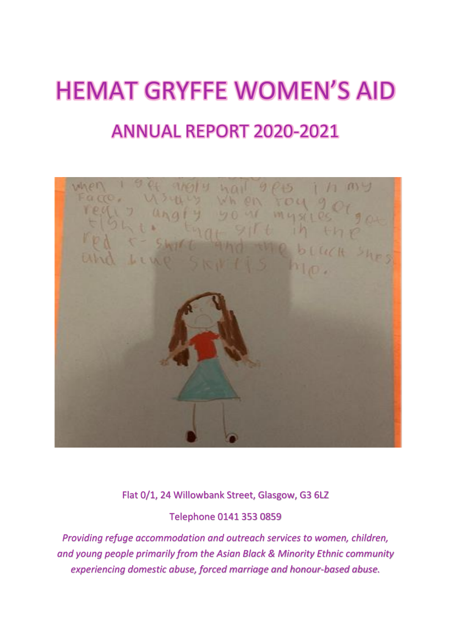# HEMAT GRYFFE WOMEN'S AID ANNUAL REPORT 2020-2021



Flat 0/1, 24 Willowbank Street, Glasgow, G3 6LZ

Telephone 0141 353 0859

*Providing refuge accommodation and outreach services to women, children, and young people primarily from the Asian Black & Minority Ethnic community experiencing domestic abuse, forced marriage and honour-based abuse.*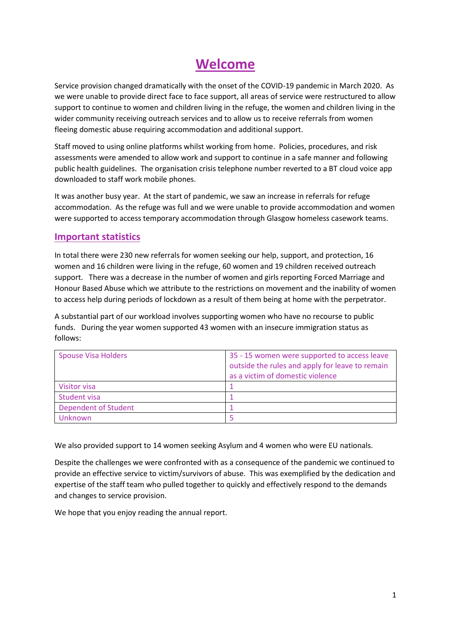## **Welcome**

Service provision changed dramatically with the onset of the COVID-19 pandemic in March 2020. As we were unable to provide direct face to face support, all areas of service were restructured to allow support to continue to women and children living in the refuge, the women and children living in the wider community receiving outreach services and to allow us to receive referrals from women fleeing domestic abuse requiring accommodation and additional support.

Staff moved to using online platforms whilst working from home. Policies, procedures, and risk assessments were amended to allow work and support to continue in a safe manner and following public health guidelines. The organisation crisis telephone number reverted to a BT cloud voice app downloaded to staff work mobile phones.

It was another busy year. At the start of pandemic, we saw an increase in referrals for refuge accommodation. As the refuge was full and we were unable to provide accommodation and women were supported to access temporary accommodation through Glasgow homeless casework teams.

#### **Important statistics**

In total there were 230 new referrals for women seeking our help, support, and protection, 16 women and 16 children were living in the refuge, 60 women and 19 children received outreach support. There was a decrease in the number of women and girls reporting Forced Marriage and Honour Based Abuse which we attribute to the restrictions on movement and the inability of women to access help during periods of lockdown as a result of them being at home with the perpetrator.

A substantial part of our workload involves supporting women who have no recourse to public funds. During the year women supported 43 women with an insecure immigration status as follows:

| <b>Spouse Visa Holders</b>  | 35 - 15 women were supported to access leave    |
|-----------------------------|-------------------------------------------------|
|                             | outside the rules and apply for leave to remain |
|                             | as a victim of domestic violence                |
| Visitor visa                |                                                 |
| Student visa                |                                                 |
| <b>Dependent of Student</b> |                                                 |
| Unknown                     |                                                 |

We also provided support to 14 women seeking Asylum and 4 women who were EU nationals.

Despite the challenges we were confronted with as a consequence of the pandemic we continued to provide an effective service to victim/survivors of abuse. This was exemplified by the dedication and expertise of the staff team who pulled together to quickly and effectively respond to the demands and changes to service provision.

We hope that you enjoy reading the annual report.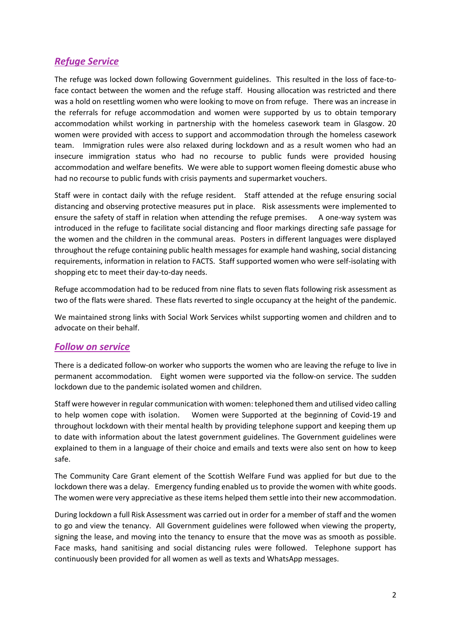## *Refuge Service*

The refuge was locked down following Government guidelines. This resulted in the loss of face-toface contact between the women and the refuge staff. Housing allocation was restricted and there was a hold on resettling women who were looking to move on from refuge. There was an increase in the referrals for refuge accommodation and women were supported by us to obtain temporary accommodation whilst working in partnership with the homeless casework team in Glasgow. 20 women were provided with access to support and accommodation through the homeless casework team. Immigration rules were also relaxed during lockdown and as a result women who had an insecure immigration status who had no recourse to public funds were provided housing accommodation and welfare benefits. We were able to support women fleeing domestic abuse who had no recourse to public funds with crisis payments and supermarket vouchers.

Staff were in contact daily with the refuge resident. Staff attended at the refuge ensuring social distancing and observing protective measures put in place. Risk assessments were implemented to ensure the safety of staff in relation when attending the refuge premises. A one-way system was introduced in the refuge to facilitate social distancing and floor markings directing safe passage for the women and the children in the communal areas. Posters in different languages were displayed throughout the refuge containing public health messages for example hand washing, social distancing requirements, information in relation to FACTS. Staff supported women who were self-isolating with shopping etc to meet their day-to-day needs.

Refuge accommodation had to be reduced from nine flats to seven flats following risk assessment as two of the flats were shared. These flats reverted to single occupancy at the height of the pandemic.

We maintained strong links with Social Work Services whilst supporting women and children and to advocate on their behalf.

#### *Follow on service*

There is a dedicated follow-on worker who supports the women who are leaving the refuge to live in permanent accommodation. Eight women were supported via the follow-on service. The sudden lockdown due to the pandemic isolated women and children.

Staff were however in regular communication with women: telephoned them and utilised video calling to help women cope with isolation. Women were Supported at the beginning of Covid-19 and throughout lockdown with their mental health by providing telephone support and keeping them up to date with information about the latest government guidelines. The Government guidelines were explained to them in a language of their choice and emails and texts were also sent on how to keep safe.

The Community Care Grant element of the Scottish Welfare Fund was applied for but due to the lockdown there was a delay. Emergency funding enabled us to provide the women with white goods. The women were very appreciative as these items helped them settle into their new accommodation.

During lockdown a full Risk Assessment was carried out in order for a member of staff and the women to go and view the tenancy. All Government guidelines were followed when viewing the property, signing the lease, and moving into the tenancy to ensure that the move was as smooth as possible. Face masks, hand sanitising and social distancing rules were followed. Telephone support has continuously been provided for all women as well as texts and WhatsApp messages.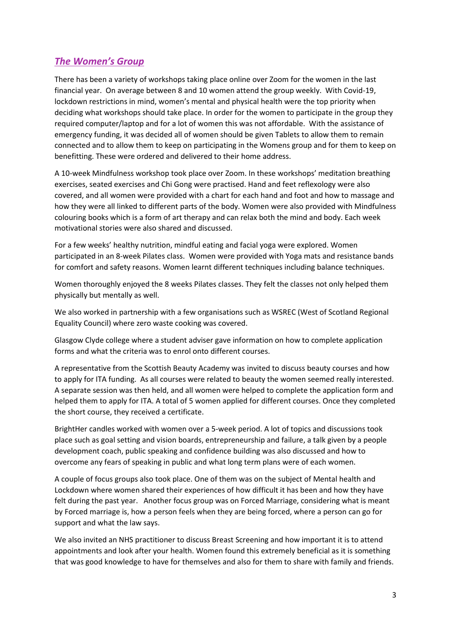## *The Women's Group*

There has been a variety of workshops taking place online over Zoom for the women in the last financial year. On average between 8 and 10 women attend the group weekly. With Covid-19, lockdown restrictions in mind, women's mental and physical health were the top priority when deciding what workshops should take place. In order for the women to participate in the group they required computer/laptop and for a lot of women this was not affordable. With the assistance of emergency funding, it was decided all of women should be given Tablets to allow them to remain connected and to allow them to keep on participating in the Womens group and for them to keep on benefitting. These were ordered and delivered to their home address.

A 10-week Mindfulness workshop took place over Zoom. In these workshops' meditation breathing exercises, seated exercises and Chi Gong were practised. Hand and feet reflexology were also covered, and all women were provided with a chart for each hand and foot and how to massage and how they were all linked to different parts of the body. Women were also provided with Mindfulness colouring books which is a form of art therapy and can relax both the mind and body. Each week motivational stories were also shared and discussed.

For a few weeks' healthy nutrition, mindful eating and facial yoga were explored. Women participated in an 8-week Pilates class. Women were provided with Yoga mats and resistance bands for comfort and safety reasons. Women learnt different techniques including balance techniques.

Women thoroughly enjoyed the 8 weeks Pilates classes. They felt the classes not only helped them physically but mentally as well.

We also worked in partnership with a few organisations such as WSREC (West of Scotland Regional Equality Council) where zero waste cooking was covered.

Glasgow Clyde college where a student adviser gave information on how to complete application forms and what the criteria was to enrol onto different courses.

A representative from the Scottish Beauty Academy was invited to discuss beauty courses and how to apply for ITA funding. As all courses were related to beauty the women seemed really interested. A separate session was then held, and all women were helped to complete the application form and helped them to apply for ITA. A total of 5 women applied for different courses. Once they completed the short course, they received a certificate.

BrightHer candles worked with women over a 5-week period. A lot of topics and discussions took place such as goal setting and vision boards, entrepreneurship and failure, a talk given by a people development coach, public speaking and confidence building was also discussed and how to overcome any fears of speaking in public and what long term plans were of each women.

A couple of focus groups also took place. One of them was on the subject of Mental health and Lockdown where women shared their experiences of how difficult it has been and how they have felt during the past year. Another focus group was on Forced Marriage, considering what is meant by Forced marriage is, how a person feels when they are being forced, where a person can go for support and what the law says.

We also invited an NHS practitioner to discuss Breast Screening and how important it is to attend appointments and look after your health. Women found this extremely beneficial as it is something that was good knowledge to have for themselves and also for them to share with family and friends.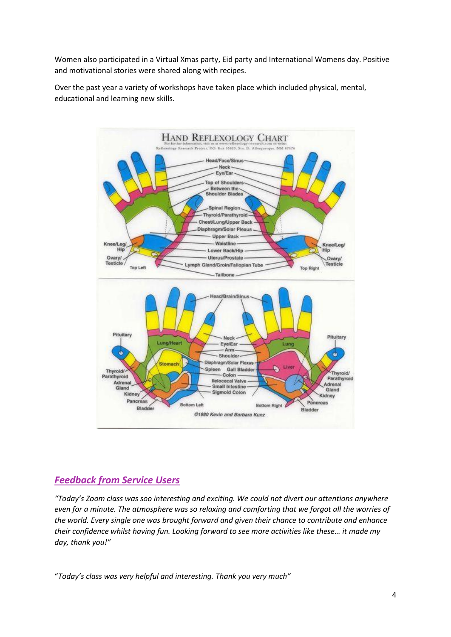Women also participated in a Virtual Xmas party, Eid party and International Womens day. Positive and motivational stories were shared along with recipes.

Over the past year a variety of workshops have taken place which included physical, mental, educational and learning new skills.



## *Feedback from Service Users*

*"Today's Zoom class was soo interesting and exciting. We could not divert our attentions anywhere even for a minute. The atmosphere was so relaxing and comforting that we forgot all the worries of the world. Every single one was brought forward and given their chance to contribute and enhance their confidence whilst having fun. Looking forward to see more activities like these… it made my day, thank you!"*

"*Today's class was very helpful and interesting. Thank you very much"*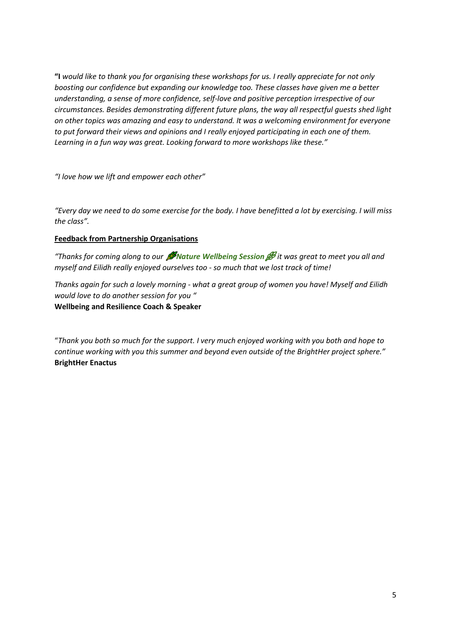**"I** *would like to thank you for organising these workshops for us. I really appreciate for not only boosting our confidence but expanding our knowledge too. These classes have given me a better understanding, a sense of more confidence, self-love and positive perception irrespective of our circumstances. Besides demonstrating different future plans, the way all respectful guests shed light on other topics was amazing and easy to understand. It was a welcoming environment for everyone to put forward their views and opinions and I really enjoyed participating in each one of them. Learning in a fun way was great. Looking forward to more workshops like these."*

*"I love how we lift and empower each other"*

*"Every day we need to do some exercise for the body. I have benefitted a lot by exercising. I will miss the class".*

#### **Feedback from Partnership Organisations**

*"Thanks for coming along to our Nature Wellbeing Session it was great to meet you all and myself and Eilidh really enjoyed ourselves too - so much that we lost track of time!*

*Thanks again for such a lovely morning - what a great group of women you have! Myself and Eilidh would love to do another session for you "* **Wellbeing and Resilience Coach & Speaker**

"*Thank you both so much for the support. I very much enjoyed working with you both and hope to continue working with you this summer and beyond even outside of the BrightHer project sphere."* **BrightHer Enactus**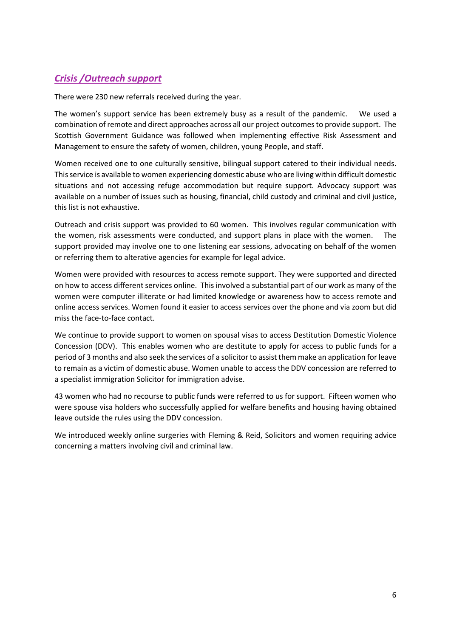## *Crisis /Outreach support*

There were 230 new referrals received during the year.

The women's support service has been extremely busy as a result of the pandemic. We used a combination of remote and direct approaches across all our project outcomes to provide support. The Scottish Government Guidance was followed when implementing effective Risk Assessment and Management to ensure the safety of women, children, young People, and staff.

Women received one to one culturally sensitive, bilingual support catered to their individual needs. This service is available to women experiencing domestic abuse who are living within difficult domestic situations and not accessing refuge accommodation but require support. Advocacy support was available on a number of issues such as housing, financial, child custody and criminal and civil justice, this list is not exhaustive.

Outreach and crisis support was provided to 60 women. This involves regular communication with the women, risk assessments were conducted, and support plans in place with the women. The support provided may involve one to one listening ear sessions, advocating on behalf of the women or referring them to alterative agencies for example for legal advice.

Women were provided with resources to access remote support. They were supported and directed on how to access different services online. This involved a substantial part of our work as many of the women were computer illiterate or had limited knowledge or awareness how to access remote and online access services. Women found it easier to access services over the phone and via zoom but did miss the face-to-face contact.

We continue to provide support to women on spousal visas to access Destitution Domestic Violence Concession (DDV). This enables women who are destitute to apply for access to public funds for a period of 3 months and also seek the services of a solicitor to assist them make an application for leave to remain as a victim of domestic abuse. Women unable to access the DDV concession are referred to a specialist immigration Solicitor for immigration advise.

43 women who had no recourse to public funds were referred to us for support. Fifteen women who were spouse visa holders who successfully applied for welfare benefits and housing having obtained leave outside the rules using the DDV concession.

We introduced weekly online surgeries with Fleming & Reid, Solicitors and women requiring advice concerning a matters involving civil and criminal law.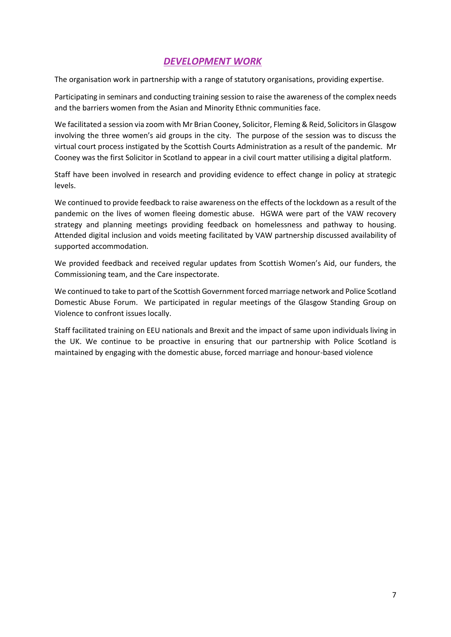## *DEVELOPMENT WORK*

The organisation work in partnership with a range of statutory organisations, providing expertise.

Participating in seminars and conducting training session to raise the awareness of the complex needs and the barriers women from the Asian and Minority Ethnic communities face.

We facilitated a session via zoom with Mr Brian Cooney, Solicitor, Fleming & Reid, Solicitors in Glasgow involving the three women's aid groups in the city. The purpose of the session was to discuss the virtual court process instigated by the Scottish Courts Administration as a result of the pandemic. Mr Cooney was the first Solicitor in Scotland to appear in a civil court matter utilising a digital platform.

Staff have been involved in research and providing evidence to effect change in policy at strategic levels.

We continued to provide feedback to raise awareness on the effects of the lockdown as a result of the pandemic on the lives of women fleeing domestic abuse. HGWA were part of the VAW recovery strategy and planning meetings providing feedback on homelessness and pathway to housing. Attended digital inclusion and voids meeting facilitated by VAW partnership discussed availability of supported accommodation.

We provided feedback and received regular updates from Scottish Women's Aid, our funders, the Commissioning team, and the Care inspectorate.

We continued to take to part of the Scottish Government forced marriage network and Police Scotland Domestic Abuse Forum. We participated in regular meetings of the Glasgow Standing Group on Violence to confront issues locally.

Staff facilitated training on EEU nationals and Brexit and the impact of same upon individuals living in the UK. We continue to be proactive in ensuring that our partnership with Police Scotland is maintained by engaging with the domestic abuse, forced marriage and honour-based violence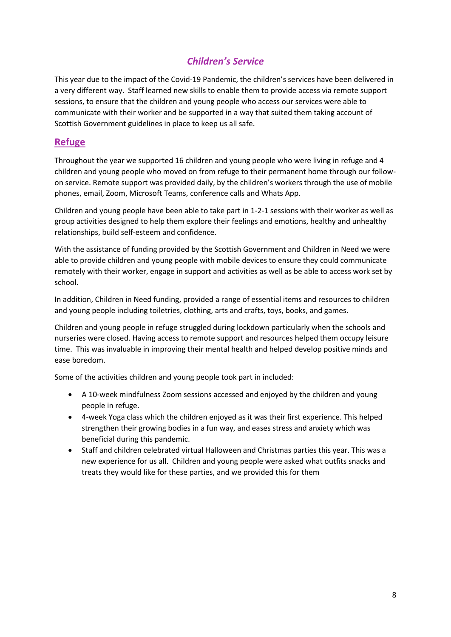## *Children's Service*

This year due to the impact of the Covid-19 Pandemic, the children's services have been delivered in a very different way. Staff learned new skills to enable them to provide access via remote support sessions, to ensure that the children and young people who access our services were able to communicate with their worker and be supported in a way that suited them taking account of Scottish Government guidelines in place to keep us all safe.

## **Refuge**

Throughout the year we supported 16 children and young people who were living in refuge and 4 children and young people who moved on from refuge to their permanent home through our followon service. Remote support was provided daily, by the children's workers through the use of mobile phones, email, Zoom, Microsoft Teams, conference calls and Whats App.

Children and young people have been able to take part in 1-2-1 sessions with their worker as well as group activities designed to help them explore their feelings and emotions, healthy and unhealthy relationships, build self-esteem and confidence.

With the assistance of funding provided by the Scottish Government and Children in Need we were able to provide children and young people with mobile devices to ensure they could communicate remotely with their worker, engage in support and activities as well as be able to access work set by school.

In addition, Children in Need funding, provided a range of essential items and resources to children and young people including toiletries, clothing, arts and crafts, toys, books, and games.

Children and young people in refuge struggled during lockdown particularly when the schools and nurseries were closed. Having access to remote support and resources helped them occupy leisure time. This was invaluable in improving their mental health and helped develop positive minds and ease boredom.

Some of the activities children and young people took part in included:

- A 10-week mindfulness Zoom sessions accessed and enjoyed by the children and young people in refuge.
- 4-week Yoga class which the children enjoyed as it was their first experience. This helped strengthen their growing bodies in a fun way, and eases stress and anxiety which was beneficial during this pandemic.
- Staff and children celebrated virtual Halloween and Christmas parties this year. This was a new experience for us all. Children and young people were asked what outfits snacks and treats they would like for these parties, and we provided this for them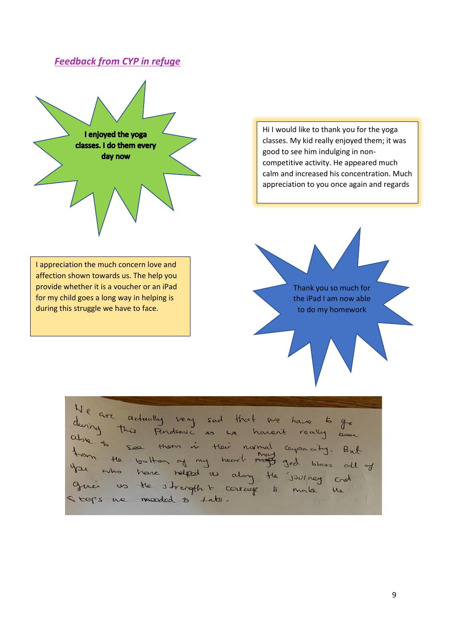## *Feedback from CYP in refuge*



Hi I would like to thank you for the yoga classes. My kid really enjoyed them; it was good to see him indulging in noncompetitive activity. He appeared much calm and increased his concentration. Much appreciation to you once again and regards

I appreciation the much concern love and affection shown towards us. The help you provide whether it is a voucher or an iPad for my child goes a long way in helping is during this struggle we have to face.

Thank you so much for the iPad I am now able to do my homework

Ve are actually very sad that are have to go<br>wing this fundamic as we haven't really been<br>be to some them of my heart many capacity. But<br>you the bottom of my heart many god bless oll of<br>an the bottom relead us along the jo bers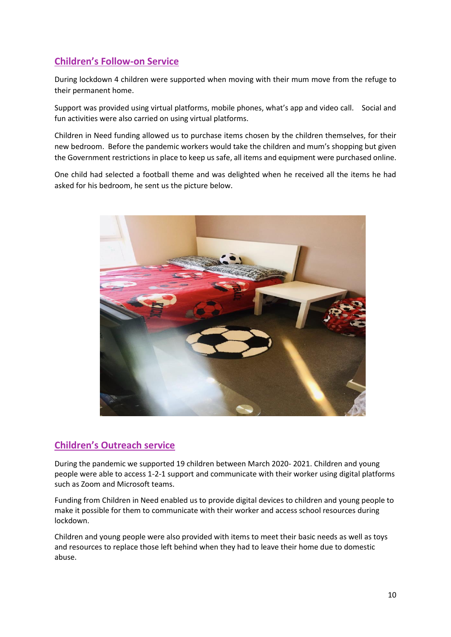## **Children's Follow-on Service**

During lockdown 4 children were supported when moving with their mum move from the refuge to their permanent home.

Support was provided using virtual platforms, mobile phones, what's app and video call. Social and fun activities were also carried on using virtual platforms.

Children in Need funding allowed us to purchase items chosen by the children themselves, for their new bedroom. Before the pandemic workers would take the children and mum's shopping but given the Government restrictions in place to keep us safe, all items and equipment were purchased online.

One child had selected a football theme and was delighted when he received all the items he had asked for his bedroom, he sent us the picture below.



### **Children's Outreach service**

During the pandemic we supported 19 children between March 2020- 2021. Children and young people were able to access 1-2-1 support and communicate with their worker using digital platforms such as Zoom and Microsoft teams.

Funding from Children in Need enabled us to provide digital devices to children and young people to make it possible for them to communicate with their worker and access school resources during lockdown.

Children and young people were also provided with items to meet their basic needs as well as toys and resources to replace those left behind when they had to leave their home due to domestic abuse.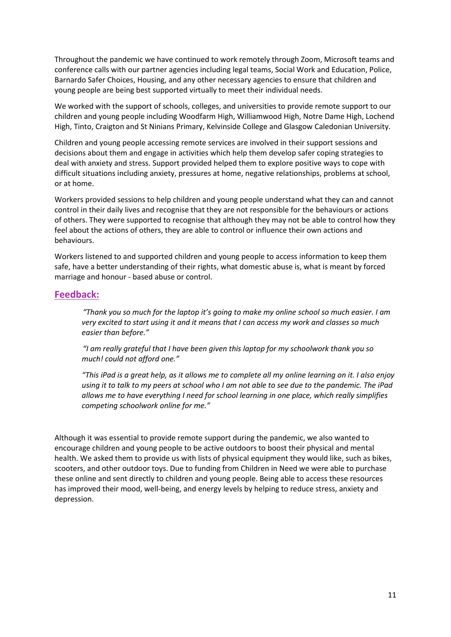Throughout the pandemic we have continued to work remotely through Zoom, Microsoft teams and conference calls with our partner agencies including legal teams, Social Work and Education, Police, Barnardo Safer Choices, Housing, and any other necessary agencies to ensure that children and young people are being best supported virtually to meet their individual needs.

We worked with the support of schools, colleges, and universities to provide remote support to our children and young people including Woodfarm High, Williamwood High, Notre Dame High, Lochend High, Tinto, Craigton and St Ninians Primary, Kelvinside College and Glasgow Caledonian University.

Children and young people accessing remote services are involved in their support sessions and decisions about them and engage in activities which help them develop safer coping strategies to deal with anxiety and stress. Support provided helped them to explore positive ways to cope with difficult situations including anxiety, pressures at home, negative relationships, problems at school, or at home.

Workers provided sessions to help children and young people understand what they can and cannot control in their daily lives and recognise that they are not responsible for the behaviours or actions of others. They were supported to recognise that although they may not be able to control how they feel about the actions of others, they are able to control or influence their own actions and behaviours.

Workers listened to and supported children and young people to access information to keep them safe, have a better understanding of their rights, what domestic abuse is, what is meant by forced marriage and honour - based abuse or control.

#### **Feedback:**

*"Thank you so much for the laptop it's going to make my online school so much easier. I am very excited to start using it and it means that I can access my work and classes so much easier than before."* 

*"I am really grateful that I have been given this laptop for my schoolwork thank you so much! could not afford one."* 

*"This iPad is a great help, as it allows me to complete all my online learning on it. I also enjoy using it to talk to my peers at school who I am not able to see due to the pandemic. The iPad allows me to have everything I need for school learning in one place, which really simplifies competing schoolwork online for me."*

Although it was essential to provide remote support during the pandemic, we also wanted to encourage children and young people to be active outdoors to boost their physical and mental health. We asked them to provide us with lists of physical equipment they would like, such as bikes, scooters, and other outdoor toys. Due to funding from Children in Need we were able to purchase these online and sent directly to children and young people. Being able to access these resources has improved their mood, well-being, and energy levels by helping to reduce stress, anxiety and depression.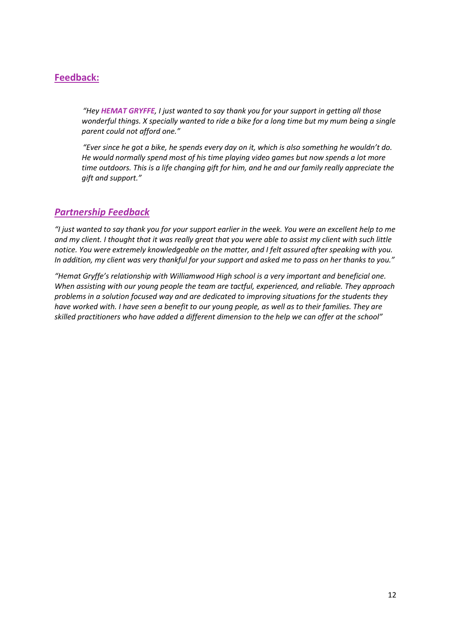## **Feedback:**

*"Hey HEMAT GRYFFE, I just wanted to say thank you for your support in getting all those wonderful things. X specially wanted to ride a bike for a long time but my mum being a single parent could not afford one."*

*"Ever since he got a bike, he spends every day on it, which is also something he wouldn't do. He would normally spend most of his time playing video games but now spends a lot more time outdoors. This is a life changing gift for him, and he and our family really appreciate the gift and support."*

## *Partnership Feedback*

*"I just wanted to say thank you for your support earlier in the week. You were an excellent help to me and my client. I thought that it was really great that you were able to assist my client with such little notice. You were extremely knowledgeable on the matter, and I felt assured after speaking with you. In addition, my client was very thankful for your support and asked me to pass on her thanks to you."*

*"Hemat Gryffe's relationship with Williamwood High school is a very important and beneficial one. When assisting with our young people the team are tactful, experienced, and reliable. They approach problems in a solution focused way and are dedicated to improving situations for the students they have worked with. I have seen a benefit to our young people, as well as to their families. They are skilled practitioners who have added a different dimension to the help we can offer at the school"*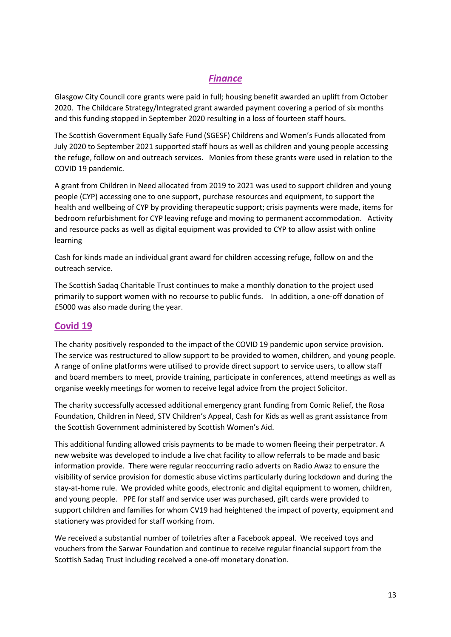## *Finance*

Glasgow City Council core grants were paid in full; housing benefit awarded an uplift from October 2020. The Childcare Strategy/Integrated grant awarded payment covering a period of six months and this funding stopped in September 2020 resulting in a loss of fourteen staff hours.

The Scottish Government Equally Safe Fund (SGESF) Childrens and Women's Funds allocated from July 2020 to September 2021 supported staff hours as well as children and young people accessing the refuge, follow on and outreach services. Monies from these grants were used in relation to the COVID 19 pandemic.

A grant from Children in Need allocated from 2019 to 2021 was used to support children and young people (CYP) accessing one to one support, purchase resources and equipment, to support the health and wellbeing of CYP by providing therapeutic support; crisis payments were made, items for bedroom refurbishment for CYP leaving refuge and moving to permanent accommodation. Activity and resource packs as well as digital equipment was provided to CYP to allow assist with online learning

Cash for kinds made an individual grant award for children accessing refuge, follow on and the outreach service.

The Scottish Sadaq Charitable Trust continues to make a monthly donation to the project used primarily to support women with no recourse to public funds. In addition, a one-off donation of £5000 was also made during the year.

### **Covid 19**

The charity positively responded to the impact of the COVID 19 pandemic upon service provision. The service was restructured to allow support to be provided to women, children, and young people. A range of online platforms were utilised to provide direct support to service users, to allow staff and board members to meet, provide training, participate in conferences, attend meetings as well as organise weekly meetings for women to receive legal advice from the project Solicitor.

The charity successfully accessed additional emergency grant funding from Comic Relief, the Rosa Foundation, Children in Need, STV Children's Appeal, Cash for Kids as well as grant assistance from the Scottish Government administered by Scottish Women's Aid.

This additional funding allowed crisis payments to be made to women fleeing their perpetrator. A new website was developed to include a live chat facility to allow referrals to be made and basic information provide. There were regular reoccurring radio adverts on Radio Awaz to ensure the visibility of service provision for domestic abuse victims particularly during lockdown and during the stay-at-home rule. We provided white goods, electronic and digital equipment to women, children, and young people. PPE for staff and service user was purchased, gift cards were provided to support children and families for whom CV19 had heightened the impact of poverty, equipment and stationery was provided for staff working from.

We received a substantial number of toiletries after a Facebook appeal. We received toys and vouchers from the Sarwar Foundation and continue to receive regular financial support from the Scottish Sadaq Trust including received a one-off monetary donation.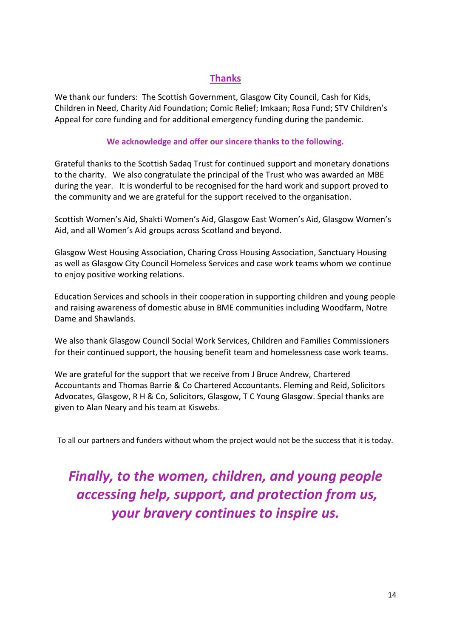## **Thanks**

We thank our funders: The Scottish Government, Glasgow City Council, Cash for Kids, Children in Need, Charity Aid Foundation; Comic Relief; Imkaan; Rosa Fund; STV Children's Appeal for core funding and for additional emergency funding during the pandemic.

#### **We acknowledge and offer our sincere thanks to the following.**

Grateful thanks to the Scottish Sadaq Trust for continued support and monetary donations to the charity. We also congratulate the principal of the Trust who was awarded an MBE during the year. It is wonderful to be recognised for the hard work and support proved to the community and we are grateful for the support received to the organisation.

Scottish Women's Aid, Shakti Women's Aid, Glasgow East Women's Aid, Glasgow Women's Aid, and all Women's Aid groups across Scotland and beyond.

Glasgow West Housing Association, Charing Cross Housing Association, Sanctuary Housing as well as Glasgow City Council Homeless Services and case work teams whom we continue to enjoy positive working relations.

Education Services and schools in their cooperation in supporting children and young people and raising awareness of domestic abuse in BME communities including Woodfarm, Notre Dame and Shawlands.

We also thank Glasgow Council Social Work Services, Children and Families Commissioners for their continued support, the housing benefit team and homelessness case work teams.

We are grateful for the support that we receive from J Bruce Andrew, Chartered Accountants and Thomas Barrie & Co Chartered Accountants. Fleming and Reid, Solicitors Advocates, Glasgow, R H & Co, Solicitors, Glasgow, T C Young Glasgow. Special thanks are given to Alan Neary and his team at Kiswebs.

To all our partners and funders without whom the project would not be the success that it is today.

## *Finally, to the women, children, and young people accessing help, support, and protection from us, your bravery continues to inspire us.*